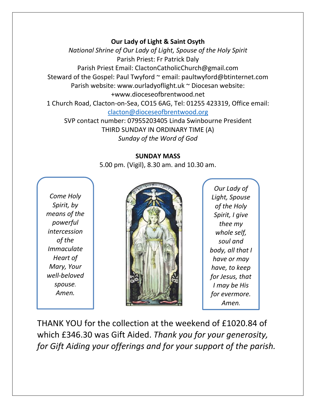## **Our Lady of Light & Saint Osyth**

*National Shrine of Our Lady of Light, Spouse of the Holy Spirit* Parish Priest: Fr Patrick Daly Parish Priest Email: ClactonCatholicChurch@gmail.com Steward of the Gospel: Paul Twyford ~ email: paultwyford@btinternet.com Parish website: www.ourladyoflight.uk ~ Diocesan website: +www.dioceseofbrentwood.net 1 Church Road, Clacton-on-Sea, CO15 6AG, Tel: 01255 423319, Office email: [clacton@dioceseofbrentwood.org](mailto:clacton@dioceseofbrentwood.org) SVP contact number: 07955203405 Linda Swinbourne President

> THIRD SUNDAY IN ORDINARY TIME (A) *Sunday of the Word of God*

## **SUNDAY MASS**

5.00 pm. (Vigil), 8.30 am. and 10.30 am.

*Come Holy Spirit, by means of the powerful intercession of the Immaculate Heart of Mary, Your well-beloved spouse. Amen.*



*Our Lady of Light, Spouse of the Holy Spirit, I give thee my whole self, soul and body, all that I have or may have, to keep for Jesus, that I may be His for evermore. Amen.*

THANK YOU for the collection at the weekend of £1020.84 of which £346.30 was Gift Aided. *Thank you for your generosity, for Gift Aiding your offerings and for your support of the parish.*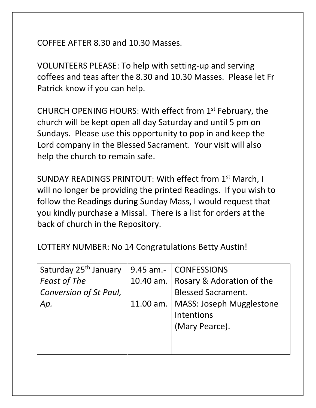COFFEE AFTER 8.30 and 10.30 Masses.

VOLUNTEERS PLEASE: To help with setting-up and serving coffees and teas after the 8.30 and 10.30 Masses. Please let Fr Patrick know if you can help.

CHURCH OPENING HOURS: With effect from 1st February, the church will be kept open all day Saturday and until 5 pm on Sundays. Please use this opportunity to pop in and keep the Lord company in the Blessed Sacrament. Your visit will also help the church to remain safe.

SUNDAY READINGS PRINTOUT: With effect from 1st March, I will no longer be providing the printed Readings. If you wish to follow the Readings during Sunday Mass, I would request that you kindly purchase a Missal. There is a list for orders at the back of church in the Repository.

LOTTERY NUMBER: No 14 Congratulations Betty Austin!

| Saturday 25 <sup>th</sup> January | 9.45 am.- CONFESSIONS                 |
|-----------------------------------|---------------------------------------|
| <b>Feast of The</b>               | 10.40 am.   Rosary & Adoration of the |
| Conversion of St Paul,            | <b>Blessed Sacrament.</b>             |
| Ap.                               | 11.00 am.   MASS: Joseph Mugglestone  |
|                                   | Intentions                            |
|                                   | (Mary Pearce).                        |
|                                   |                                       |
|                                   |                                       |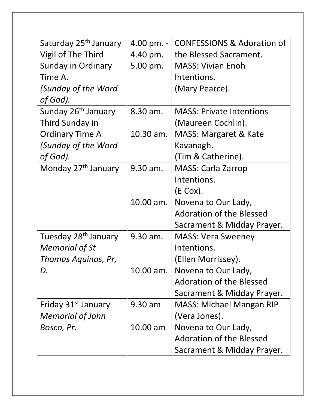| Saturday 25 <sup>th</sup> January | 4.00 pm. -  | <b>CONFESSIONS &amp; Adoration of</b> |
|-----------------------------------|-------------|---------------------------------------|
| Vigil of The Third                | 4.40 pm.    | the Blessed Sacrament.                |
| Sunday in Ordinary                | 5.00 pm.    | <b>MASS: Vivian Enoh</b>              |
| Time A.                           |             | Intentions.                           |
| (Sunday of the Word               |             | (Mary Pearce).                        |
| of God).                          |             |                                       |
| Sunday 26 <sup>th</sup> January   | 8.30 am.    | <b>MASS: Private Intentions</b>       |
| Third Sunday in                   |             | (Maureen Cochlin).                    |
| <b>Ordinary Time A</b>            | $10.30$ am. | <b>MASS: Margaret &amp; Kate</b>      |
| (Sunday of the Word               |             | Kavanagh.                             |
| of God).                          |             | (Tim & Catherine).                    |
| Monday 27 <sup>th</sup> January   | 9.30 am.    | <b>MASS: Carla Zarrop</b>             |
|                                   |             | Intentions.                           |
|                                   |             | $(E \text{ Cox})$ .                   |
|                                   | 10.00 am.   | Novena to Our Lady,                   |
|                                   |             | <b>Adoration of the Blessed</b>       |
|                                   |             | Sacrament & Midday Prayer.            |
| Tuesday 28 <sup>th</sup> January  | 9.30 am.    | <b>MASS: Vera Sweeney</b>             |
| <b>Memorial of St</b>             |             | Intentions.                           |
| Thomas Aquinas, Pr,               |             | (Ellen Morrissey).                    |
| D.                                | 10.00 am.   | Novena to Our Lady,                   |
|                                   |             | <b>Adoration of the Blessed</b>       |
|                                   |             | Sacrament & Midday Prayer.            |
| Friday 31 <sup>st</sup> January   | 9.30 am     | <b>MASS: Michael Mangan RIP</b>       |
| <b>Memorial of John</b>           |             | (Vera Jones).                         |
| Bosco, Pr.                        | $10.00$ am  | Novena to Our Lady,                   |
|                                   |             | <b>Adoration of the Blessed</b>       |
|                                   |             | Sacrament & Midday Prayer.            |